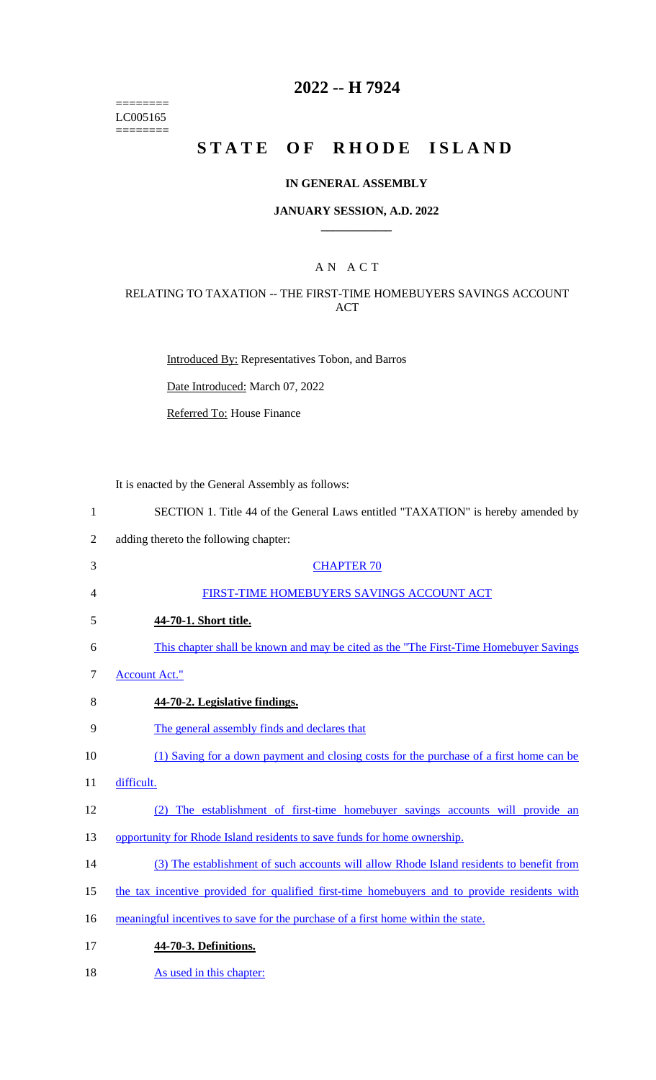$=$ LC005165 ========

# **2022 -- H 7924**

# STATE OF RHODE ISLAND

### **IN GENERAL ASSEMBLY**

#### **JANUARY SESSION, A.D. 2022 \_\_\_\_\_\_\_\_\_\_\_\_**

### A N A C T

### RELATING TO TAXATION -- THE FIRST-TIME HOMEBUYERS SAVINGS ACCOUNT ACT

Introduced By: Representatives Tobon, and Barros

Date Introduced: March 07, 2022

Referred To: House Finance

It is enacted by the General Assembly as follows:

| $\mathbf{1}$   | SECTION 1. Title 44 of the General Laws entitled "TAXATION" is hereby amended by             |
|----------------|----------------------------------------------------------------------------------------------|
| $\overline{2}$ | adding thereto the following chapter:                                                        |
| 3              | <b>CHAPTER 70</b>                                                                            |
| 4              | FIRST-TIME HOMEBUYERS SAVINGS ACCOUNT ACT                                                    |
| 5              | 44-70-1. Short title.                                                                        |
| 6              | This chapter shall be known and may be cited as the "The First-Time Homebuyer Savings"       |
| $\tau$         | <b>Account Act."</b>                                                                         |
| 8              | 44-70-2. Legislative findings.                                                               |
| 9              | The general assembly finds and declares that                                                 |
| 10             | (1) Saving for a down payment and closing costs for the purchase of a first home can be      |
| 11             | difficult.                                                                                   |
| 12             | The establishment of first-time homebuyer savings accounts will provide an<br>(2)            |
| 13             | opportunity for Rhode Island residents to save funds for home ownership.                     |
| 14             | (3) The establishment of such accounts will allow Rhode Island residents to benefit from     |
| 15             | the tax incentive provided for qualified first-time homebuyers and to provide residents with |
| 16             | meaningful incentives to save for the purchase of a first home within the state.             |
| 17             | 44-70-3. Definitions.                                                                        |
| 18             | As used in this chapter:                                                                     |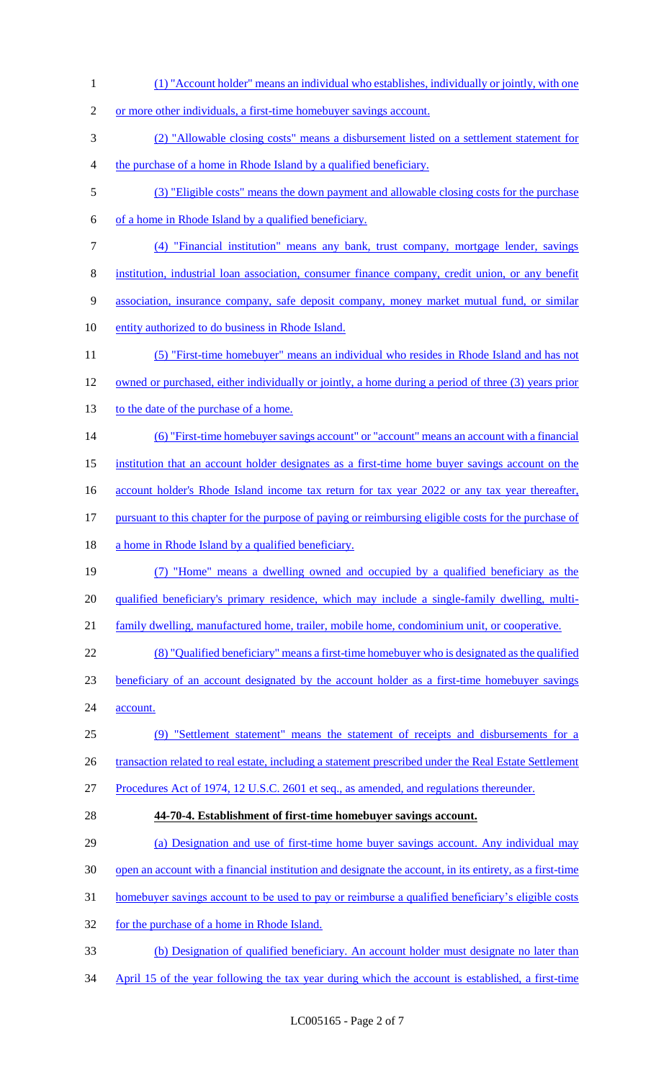(1) "Account holder" means an individual who establishes, individually or jointly, with one 2 or more other individuals, a first-time homebuyer savings account. (2) "Allowable closing costs" means a disbursement listed on a settlement statement for the purchase of a home in Rhode Island by a qualified beneficiary. (3) "Eligible costs" means the down payment and allowable closing costs for the purchase of a home in Rhode Island by a qualified beneficiary. (4) "Financial institution" means any bank, trust company, mortgage lender, savings institution, industrial loan association, consumer finance company, credit union, or any benefit association, insurance company, safe deposit company, money market mutual fund, or similar entity authorized to do business in Rhode Island. (5) "First-time homebuyer" means an individual who resides in Rhode Island and has not owned or purchased, either individually or jointly, a home during a period of three (3) years prior 13 to the date of the purchase of a home. (6) "First-time homebuyer savings account" or "account" means an account with a financial institution that an account holder designates as a first-time home buyer savings account on the 16 account holder's Rhode Island income tax return for tax year 2022 or any tax year thereafter, pursuant to this chapter for the purpose of paying or reimbursing eligible costs for the purchase of 18 a home in Rhode Island by a qualified beneficiary. (7) "Home" means a dwelling owned and occupied by a qualified beneficiary as the qualified beneficiary's primary residence, which may include a single-family dwelling, multi- family dwelling, manufactured home, trailer, mobile home, condominium unit, or cooperative. (8) "Qualified beneficiary" means a first-time homebuyer who is designated as the qualified beneficiary of an account designated by the account holder as a first-time homebuyer savings 24 account. (9) "Settlement statement" means the statement of receipts and disbursements for a 26 transaction related to real estate, including a statement prescribed under the Real Estate Settlement Procedures Act of 1974, 12 U.S.C. 2601 et seq., as amended, and regulations thereunder. **44-70-4. Establishment of first-time homebuyer savings account.** (a) Designation and use of first-time home buyer savings account. Any individual may open an account with a financial institution and designate the account, in its entirety, as a first-time homebuyer savings account to be used to pay or reimburse a qualified beneficiary's eligible costs for the purchase of a home in Rhode Island. (b) Designation of qualified beneficiary. An account holder must designate no later than April 15 of the year following the tax year during which the account is established, a first-time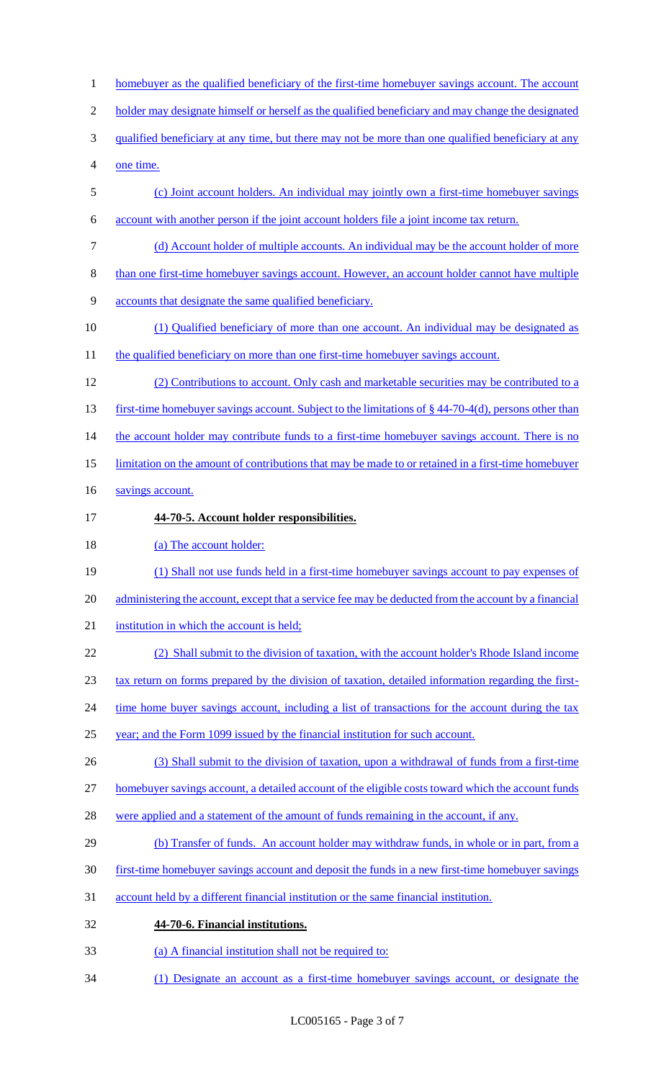1 homebuyer as the qualified beneficiary of the first-time homebuyer savings account. The account 2 holder may designate himself or herself as the qualified beneficiary and may change the designated 3 qualified beneficiary at any time, but there may not be more than one qualified beneficiary at any one time. (c) Joint account holders. An individual may jointly own a first-time homebuyer savings account with another person if the joint account holders file a joint income tax return. (d) Account holder of multiple accounts. An individual may be the account holder of more than one first-time homebuyer savings account. However, an account holder cannot have multiple accounts that designate the same qualified beneficiary. (1) Qualified beneficiary of more than one account. An individual may be designated as 11 the qualified beneficiary on more than one first-time homebuyer savings account. (2) Contributions to account. Only cash and marketable securities may be contributed to a 13 first-time homebuyer savings account. Subject to the limitations of § 44-70-4(d), persons other than 14 the account holder may contribute funds to a first-time homebuyer savings account. There is no limitation on the amount of contributions that may be made to or retained in a first-time homebuyer 16 savings account. **44-70-5. Account holder responsibilities.** 18 (a) The account holder: (1) Shall not use funds held in a first-time homebuyer savings account to pay expenses of 20 administering the account, except that a service fee may be deducted from the account by a financial 21 institution in which the account is held; (2) Shall submit to the division of taxation, with the account holder's Rhode Island income tax return on forms prepared by the division of taxation, detailed information regarding the first-24 time home buyer savings account, including a list of transactions for the account during the tax year; and the Form 1099 issued by the financial institution for such account. (3) Shall submit to the division of taxation, upon a withdrawal of funds from a first-time homebuyer savings account, a detailed account of the eligible costs toward which the account funds 28 were applied and a statement of the amount of funds remaining in the account, if any. 29 (b) Transfer of funds. An account holder may withdraw funds, in whole or in part, from a first-time homebuyer savings account and deposit the funds in a new first-time homebuyer savings account held by a different financial institution or the same financial institution. **44-70-6. Financial institutions.** (a) A financial institution shall not be required to: (1) Designate an account as a first-time homebuyer savings account, or designate the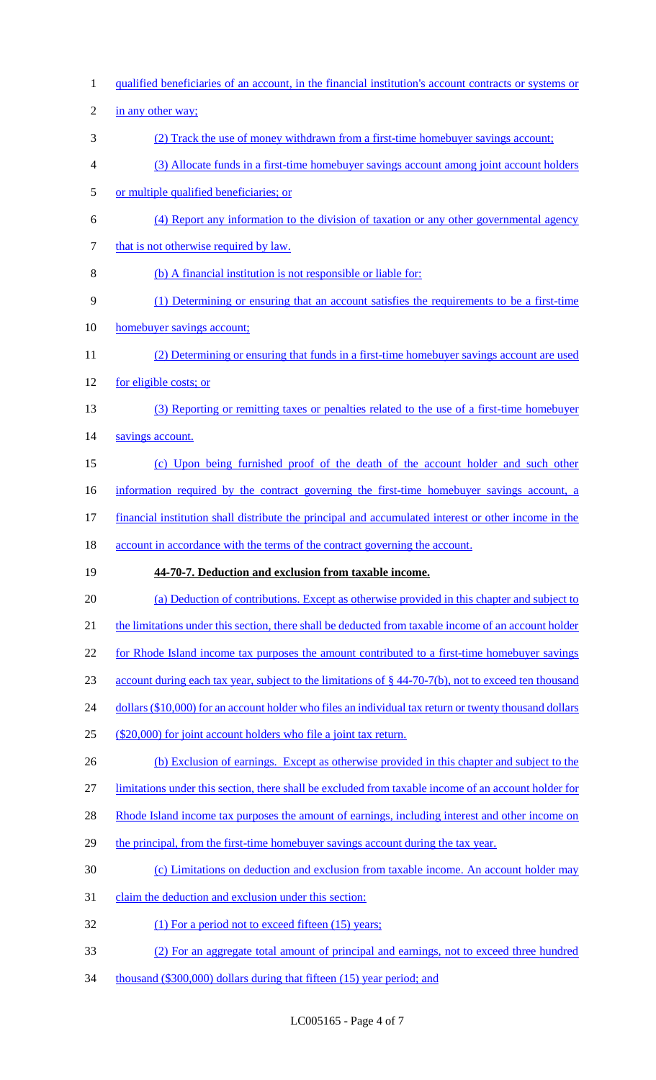1 qualified beneficiaries of an account, in the financial institution's account contracts or systems or 2 in any other way; 3 (2) Track the use of money withdrawn from a first-time homebuyer savings account; 4 (3) Allocate funds in a first-time homebuyer savings account among joint account holders 5 or multiple qualified beneficiaries; or 6 (4) Report any information to the division of taxation or any other governmental agency 7 that is not otherwise required by law. 8 (b) A financial institution is not responsible or liable for: 9 (1) Determining or ensuring that an account satisfies the requirements to be a first-time 10 homebuyer savings account; 11 (2) Determining or ensuring that funds in a first-time homebuyer savings account are used 12 for <u>eligible costs; or</u> 13 (3) Reporting or remitting taxes or penalties related to the use of a first-time homebuyer 14 savings account. 15 (c) Upon being furnished proof of the death of the account holder and such other 16 information required by the contract governing the first-time homebuyer savings account, a 17 financial institution shall distribute the principal and accumulated interest or other income in the 18 account in accordance with the terms of the contract governing the account. 19 **44-70-7. Deduction and exclusion from taxable income.** 20 (a) Deduction of contributions. Except as otherwise provided in this chapter and subject to 21 the limitations under this section, there shall be deducted from taxable income of an account holder 22 for Rhode Island income tax purposes the amount contributed to a first-time homebuyer savings 23 account during each tax year, subject to the limitations of § 44-70-7(b), not to exceed ten thousand 24 dollars (\$10,000) for an account holder who files an individual tax return or twenty thousand dollars 25 (\$20,000) for joint account holders who file a joint tax return. 26 (b) Exclusion of earnings. Except as otherwise provided in this chapter and subject to the 27 limitations under this section, there shall be excluded from taxable income of an account holder for 28 Rhode Island income tax purposes the amount of earnings, including interest and other income on 29 the principal, from the first-time homebuyer savings account during the tax year. 30 (c) Limitations on deduction and exclusion from taxable income. An account holder may 31 claim the deduction and exclusion under this section: 32 (1) For a period not to exceed fifteen (15) years; 33 (2) For an aggregate total amount of principal and earnings, not to exceed three hundred 34 thousand (\$300,000) dollars during that fifteen (15) year period; and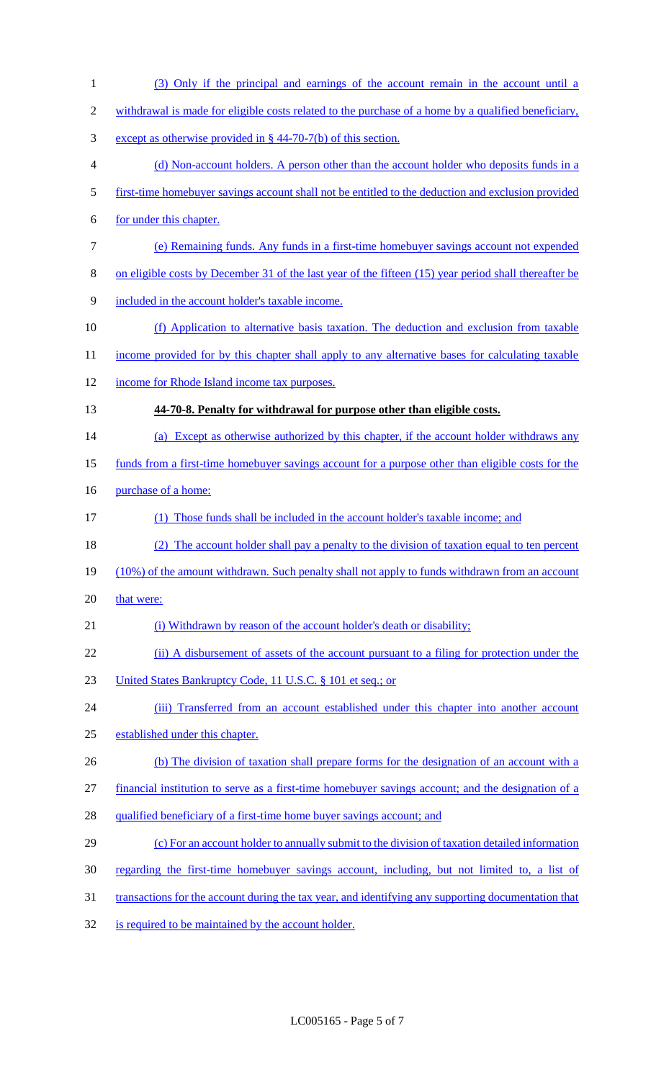(3) Only if the principal and earnings of the account remain in the account until a 2 withdrawal is made for eligible costs related to the purchase of a home by a qualified beneficiary, except as otherwise provided in § 44-70-7(b) of this section. (d) Non-account holders. A person other than the account holder who deposits funds in a first-time homebuyer savings account shall not be entitled to the deduction and exclusion provided for under this chapter. (e) Remaining funds. Any funds in a first-time homebuyer savings account not expended on eligible costs by December 31 of the last year of the fifteen (15) year period shall thereafter be included in the account holder's taxable income. (f) Application to alternative basis taxation. The deduction and exclusion from taxable 11 income provided for by this chapter shall apply to any alternative bases for calculating taxable income for Rhode Island income tax purposes. **44-70-8. Penalty for withdrawal for purpose other than eligible costs.**  14 (a) Except as otherwise authorized by this chapter, if the account holder withdraws any funds from a first-time homebuyer savings account for a purpose other than eligible costs for the 16 purchase of a home: (1) Those funds shall be included in the account holder's taxable income; and (2) The account holder shall pay a penalty to the division of taxation equal to ten percent 19 (10%) of the amount withdrawn. Such penalty shall not apply to funds withdrawn from an account 20 that were: 21 (i) Withdrawn by reason of the account holder's death or disability; 22 (ii) A disbursement of assets of the account pursuant to a filing for protection under the 23 United States Bankruptcy Code, 11 U.S.C. § 101 et seq.; or 24 (iii) Transferred from an account established under this chapter into another account established under this chapter. 26 (b) The division of taxation shall prepare forms for the designation of an account with a financial institution to serve as a first-time homebuyer savings account; and the designation of a 28 qualified beneficiary of a first-time home buyer savings account; and (c) For an account holder to annually submit to the division of taxation detailed information regarding the first-time homebuyer savings account, including, but not limited to, a list of transactions for the account during the tax year, and identifying any supporting documentation that is required to be maintained by the account holder.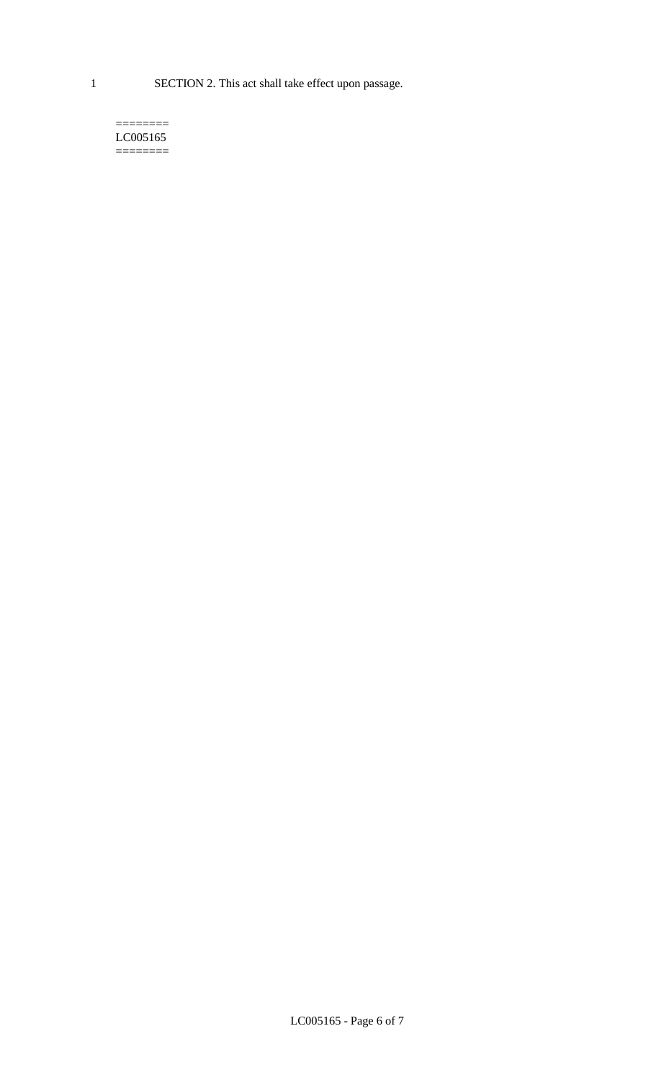1 SECTION 2. This act shall take effect upon passage.

#### $=$ LC005165 ========